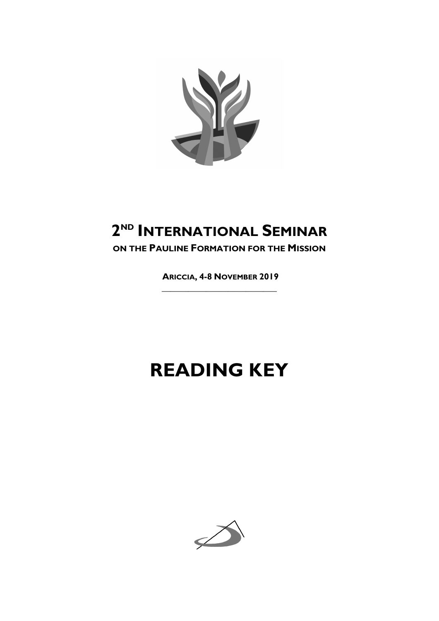

# **2ND INTERNATIONAL SEMINAR**

**ON THE PAULINE FORMATION FOR THE MISSION**

**ARICCIA, 4-8 NOVEMBER 2019 \_\_\_\_\_\_\_\_\_\_\_\_\_\_\_\_\_\_\_\_\_\_\_\_\_\_**

# **READING KEY**

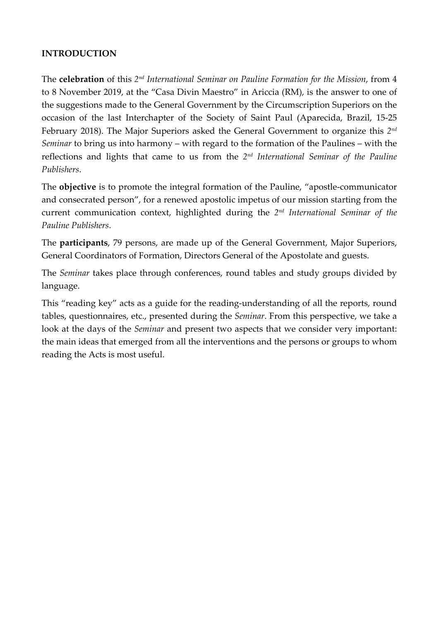#### **INTRODUCTION**

The **celebration** of this *2nd International Seminar on Pauline Formation for the Mission*, from 4 to 8 November 2019, at the "Casa Divin Maestro" in Ariccia (RM), is the answer to one of the suggestions made to the General Government by the Circumscription Superiors on the occasion of the last Interchapter of the Society of Saint Paul (Aparecida, Brazil, 15-25 February 2018). The Major Superiors asked the General Government to organize this *2nd Seminar* to bring us into harmony – with regard to the formation of the Paulines – with the reflections and lights that came to us from the *2nd International Seminar of the Pauline Publishers*.

The **objective** is to promote the integral formation of the Pauline, "apostle-communicator and consecrated person", for a renewed apostolic impetus of our mission starting from the current communication context, highlighted during the *2nd International Seminar of the Pauline Publishers*.

The **participants**, 79 persons, are made up of the General Government, Major Superiors, General Coordinators of Formation, Directors General of the Apostolate and guests.

The *Seminar* takes place through conferences, round tables and study groups divided by language.

This "reading key" acts as a guide for the reading-understanding of all the reports, round tables, questionnaires, etc., presented during the *Seminar*. From this perspective, we take a look at the days of the *Seminar* and present two aspects that we consider very important: the main ideas that emerged from all the interventions and the persons or groups to whom reading the Acts is most useful.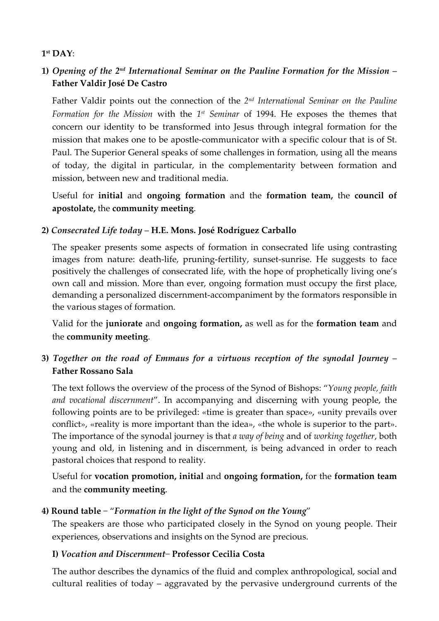#### **1st DAY**:

# **1)** *Opening of the 2nd International Seminar on the Pauline Formation for the Mission* – **Father Valdir José De Castro**

Father Valdir points out the connection of the *2nd International Seminar on the Pauline Formation for the Mission* with the *1st Seminar* of 1994. He exposes the themes that concern our identity to be transformed into Jesus through integral formation for the mission that makes one to be apostle-communicator with a specific colour that is of St. Paul. The Superior General speaks of some challenges in formation, using all the means of today, the digital in particular, in the complementarity between formation and mission, between new and traditional media.

Useful for **initial** and **ongoing formation** and the **formation team,** the **council of apostolate,** the **community meeting**.

#### **2)** *Consecrated Life today* – **H.E. Mons. José Rodríguez Carballo**

The speaker presents some aspects of formation in consecrated life using contrasting images from nature: death-life, pruning-fertility, sunset-sunrise. He suggests to face positively the challenges of consecrated life, with the hope of prophetically living one's own call and mission. More than ever, ongoing formation must occupy the first place, demanding a personalized discernment-accompaniment by the formators responsible in the various stages of formation.

Valid for the **juniorate** and **ongoing formation,** as well as for the **formation team** and the **community meeting**.

# **3)** *Together on the road of Emmaus for a virtuous reception of the synodal Journey* – **Father Rossano Sala**

The text follows the overview of the process of the Synod of Bishops: "*Young people, faith and vocational discernment*". In accompanying and discerning with young people, the following points are to be privileged: «time is greater than space», «unity prevails over conflict», «reality is more important than the idea», «the whole is superior to the part». The importance of the synodal journey is that *a way of being* and of *working together*, both young and old, in listening and in discernment, is being advanced in order to reach pastoral choices that respond to reality.

Useful for **vocation promotion, initial** and **ongoing formation,** for the **formation team**  and the **community meeting**.

# **4) Round table** − "*Formation in the light of the Synod on the Young*"

The speakers are those who participated closely in the Synod on young people. Their experiences, observations and insights on the Synod are precious.

#### **I)** *Vocation and Discernment*− **Professor Cecilia Costa**

The author describes the dynamics of the fluid and complex anthropological, social and cultural realities of today – aggravated by the pervasive underground currents of the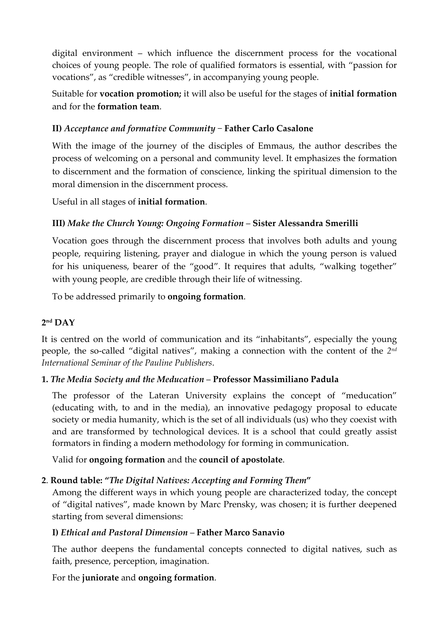digital environment – which influence the discernment process for the vocational choices of young people. The role of qualified formators is essential, with "passion for vocations", as "credible witnesses", in accompanying young people.

Suitable for **vocation promotion;** it will also be useful for the stages of **initial formation**  and for the **formation team**.

# **II)** *Acceptance and formative Community* − **Father Carlo Casalone**

With the image of the journey of the disciples of Emmaus, the author describes the process of welcoming on a personal and community level. It emphasizes the formation to discernment and the formation of conscience, linking the spiritual dimension to the moral dimension in the discernment process.

Useful in all stages of **initial formation**.

# **III)** *Make the Church Young: Ongoing Formation* – **Sister Alessandra Smerilli**

Vocation goes through the discernment process that involves both adults and young people, requiring listening, prayer and dialogue in which the young person is valued for his uniqueness, bearer of the "good". It requires that adults, "walking together" with young people, are credible through their life of witnessing.

To be addressed primarily to **ongoing formation**.

# **2nd DAY**

It is centred on the world of communication and its "inhabitants", especially the young people, the so-called "digital natives", making a connection with the content of the *2nd International Seminar of the Pauline Publishers*.

# **1.** *The Media Society and the Meducation* – **Professor Massimiliano Padula**

The professor of the Lateran University explains the concept of "meducation" (educating with, to and in the media), an innovative pedagogy proposal to educate society or media humanity, which is the set of all individuals (us) who they coexist with and are transformed by technological devices. It is a school that could greatly assist formators in finding a modern methodology for forming in communication.

Valid for **ongoing formation** and the **council of apostolate**.

# **2**. **Round table: "***The Digital Natives: Accepting and Forming Them***"**

Among the different ways in which young people are characterized today, the concept of "digital natives", made known by Marc Prensky, was chosen; it is further deepened starting from several dimensions:

# **I)** *Ethical and Pastoral Dimension* – **Father Marco Sanavio**

The author deepens the fundamental concepts connected to digital natives, such as faith, presence, perception, imagination.

For the **juniorate** and **ongoing formation**.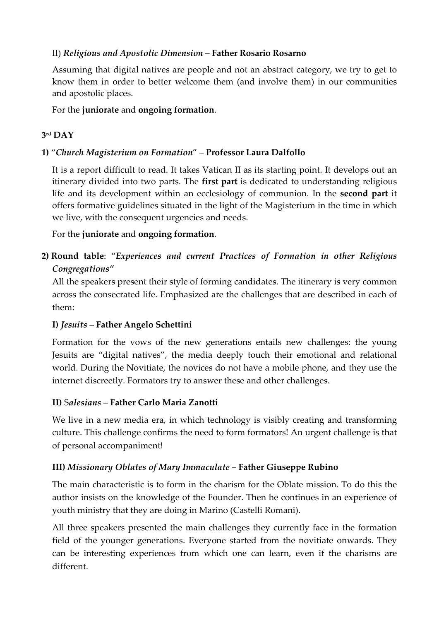# II) *Religious and Apostolic Dimension* – **Father Rosario Rosarno**

Assuming that digital natives are people and not an abstract category, we try to get to know them in order to better welcome them (and involve them) in our communities and apostolic places.

For the **juniorate** and **ongoing formation**.

# **3rd DAY**

# **1)** "*Church Magisterium on Formation*" – **Professor Laura Dalfollo**

It is a report difficult to read. It takes Vatican II as its starting point. It develops out an itinerary divided into two parts. The **first part** is dedicated to understanding religious life and its development within an ecclesiology of communion. In the **second part** it offers formative guidelines situated in the light of the Magisterium in the time in which we live, with the consequent urgencies and needs.

For the **juniorate** and **ongoing formation**.

**2) Round table**: "*Experiences and current Practices of Formation in other Religious Congregations"*

All the speakers present their style of forming candidates. The itinerary is very common across the consecrated life. Emphasized are the challenges that are described in each of them:

# **I)** *Jesuits* – **Father Angelo Schettini**

Formation for the vows of the new generations entails new challenges: the young Jesuits are "digital natives", the media deeply touch their emotional and relational world. During the Novitiate, the novices do not have a mobile phone, and they use the internet discreetly. Formators try to answer these and other challenges.

# **II)** S*alesians* – **Father Carlo Maria Zanotti**

We live in a new media era, in which technology is visibly creating and transforming culture. This challenge confirms the need to form formators! An urgent challenge is that of personal accompaniment!

# **III)** *Missionary Oblates of Mary Immaculate* – **Father Giuseppe Rubino**

The main characteristic is to form in the charism for the Oblate mission. To do this the author insists on the knowledge of the Founder. Then he continues in an experience of youth ministry that they are doing in Marino (Castelli Romani).

All three speakers presented the main challenges they currently face in the formation field of the younger generations. Everyone started from the novitiate onwards. They can be interesting experiences from which one can learn, even if the charisms are different.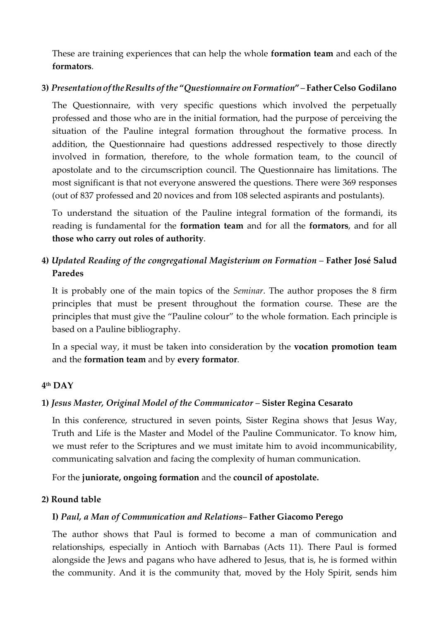These are training experiences that can help the whole **formation team** and each of the **formators**.

#### **3)** *PresentationoftheResults ofthe* **"***Questionnaire on Formation***"**– **Father Celso Godilano**

The Questionnaire, with very specific questions which involved the perpetually professed and those who are in the initial formation, had the purpose of perceiving the situation of the Pauline integral formation throughout the formative process. In addition, the Questionnaire had questions addressed respectively to those directly involved in formation, therefore, to the whole formation team, to the council of apostolate and to the circumscription council. The Questionnaire has limitations. The most significant is that not everyone answered the questions. There were 369 responses (out of 837 professed and 20 novices and from 108 selected aspirants and postulants).

To understand the situation of the Pauline integral formation of the formandi, its reading is fundamental for the **formation team** and for all the **formators**, and for all **those who carry out roles of authority**.

# **4)** *Updated Reading of the congregational Magisterium on Formation* – **Father José Salud Paredes**

It is probably one of the main topics of the *Seminar*. The author proposes the 8 firm principles that must be present throughout the formation course. These are the principles that must give the "Pauline colour" to the whole formation. Each principle is based on a Pauline bibliography.

In a special way, it must be taken into consideration by the **vocation promotion team** and the **formation team** and by **every formator**.

# **4th DAY**

# **1)** *Jesus Master, Original Model of the Communicator* – **Sister Regina Cesarato**

In this conference, structured in seven points, Sister Regina shows that Jesus Way, Truth and Life is the Master and Model of the Pauline Communicator. To know him, we must refer to the Scriptures and we must imitate him to avoid incommunicability, communicating salvation and facing the complexity of human communication.

For the **juniorate, ongoing formation** and the **council of apostolate.**

#### **2) Round table**

# **I)** *Paul, a Man of Communication and Relations*– **Father Giacomo Perego**

The author shows that Paul is formed to become a man of communication and relationships, especially in Antioch with Barnabas (Acts 11). There Paul is formed alongside the Jews and pagans who have adhered to Jesus, that is, he is formed within the community. And it is the community that, moved by the Holy Spirit, sends him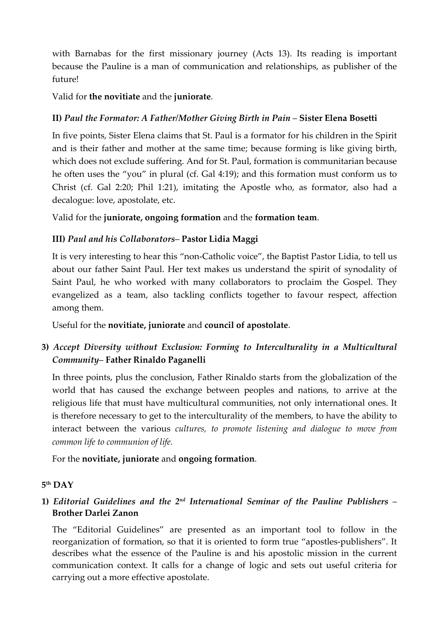with Barnabas for the first missionary journey (Acts 13). Its reading is important because the Pauline is a man of communication and relationships, as publisher of the future!

Valid for **the novitiate** and the **juniorate**.

#### **II)** *Paul the Formator: A Father/Mother Giving Birth in Pain* – **Sister Elena Bosetti**

In five points, Sister Elena claims that St. Paul is a formator for his children in the Spirit and is their father and mother at the same time; because forming is like giving birth, which does not exclude suffering. And for St. Paul, formation is communitarian because he often uses the "you" in plural (cf. Gal 4:19); and this formation must conform us to Christ (cf. Gal 2:20; Phil 1:21), imitating the Apostle who, as formator, also had a decalogue: love, apostolate, etc.

Valid for the **juniorate, ongoing formation** and the **formation team**.

#### **III)** *Paul and his Collaborators*– **Pastor Lidia Maggi**

It is very interesting to hear this "non-Catholic voice", the Baptist Pastor Lidia, to tell us about our father Saint Paul. Her text makes us understand the spirit of synodality of Saint Paul, he who worked with many collaborators to proclaim the Gospel. They evangelized as a team, also tackling conflicts together to favour respect, affection among them.

Useful for the **novitiate, juniorate** and **council of apostolate**.

# **3)** *Accept Diversity without Exclusion: Forming to Interculturality in a Multicultural Community*– **Father Rinaldo Paganelli**

In three points, plus the conclusion, Father Rinaldo starts from the globalization of the world that has caused the exchange between peoples and nations, to arrive at the religious life that must have multicultural communities, not only international ones. It is therefore necessary to get to the interculturality of the members, to have the ability to interact between the various *cultures, to promote listening and dialogue to move from common life to communion of life.*

For the **novitiate, juniorate** and **ongoing formation**.

#### **5th DAY**

# **1)** *Editorial Guidelines and the 2nd International Seminar of the Pauline Publishers* – **Brother Darlei Zanon**

The "Editorial Guidelines" are presented as an important tool to follow in the reorganization of formation, so that it is oriented to form true "apostles-publishers". It describes what the essence of the Pauline is and his apostolic mission in the current communication context. It calls for a change of logic and sets out useful criteria for carrying out a more effective apostolate.